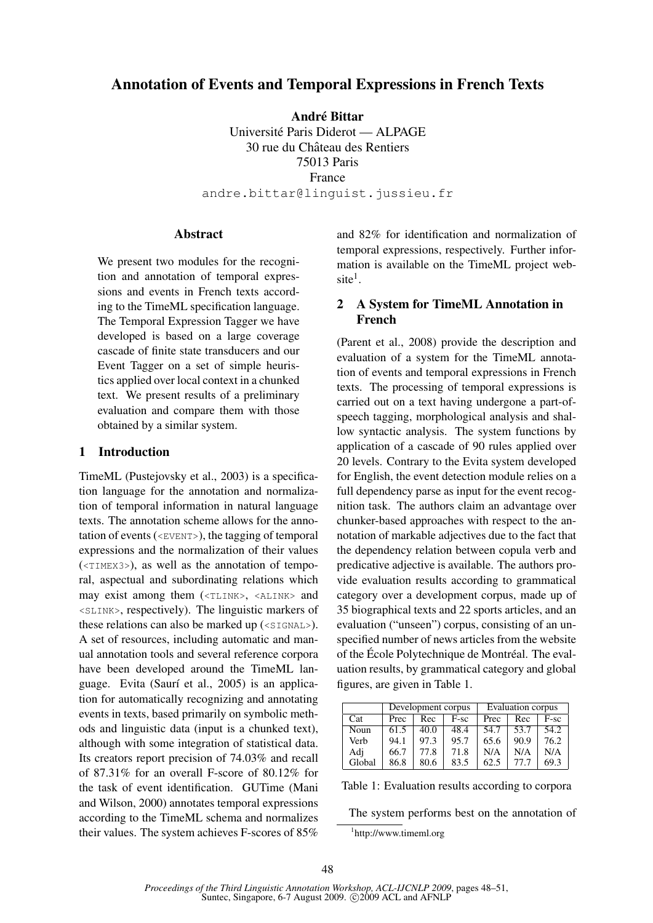# Annotation of Events and Temporal Expressions in French Texts

André Bittar

Universite Paris Diderot — ALPAGE ´ 30 rue du Chateau des Rentiers ˆ 75013 Paris France andre.bittar@linguist.jussieu.fr

#### Abstract

We present two modules for the recognition and annotation of temporal expressions and events in French texts according to the TimeML specification language. The Temporal Expression Tagger we have developed is based on a large coverage cascade of finite state transducers and our Event Tagger on a set of simple heuristics applied over local context in a chunked text. We present results of a preliminary evaluation and compare them with those obtained by a similar system.

#### 1 Introduction

TimeML (Pustejovsky et al., 2003) is a specification language for the annotation and normalization of temporal information in natural language texts. The annotation scheme allows for the annotation of events ( $\langle$ EVENT>), the tagging of temporal expressions and the normalization of their values (<TIMEX3>), as well as the annotation of temporal, aspectual and subordinating relations which may exist among them (<TLINK>, <ALINK> and <SLINK>, respectively). The linguistic markers of these relations can also be marked up  $(\leq \text{SIGNAL}>)$ . A set of resources, including automatic and manual annotation tools and several reference corpora have been developed around the TimeML language. Evita (Saurí et al., 2005) is an application for automatically recognizing and annotating events in texts, based primarily on symbolic methods and linguistic data (input is a chunked text), although with some integration of statistical data. Its creators report precision of 74.03% and recall of 87.31% for an overall F-score of 80.12% for the task of event identification. GUTime (Mani and Wilson, 2000) annotates temporal expressions according to the TimeML schema and normalizes their values. The system achieves F-scores of 85%

and 82% for identification and normalization of temporal expressions, respectively. Further information is available on the TimeML project web $site<sup>1</sup>$ .

# 2 A System for TimeML Annotation in French

(Parent et al., 2008) provide the description and evaluation of a system for the TimeML annotation of events and temporal expressions in French texts. The processing of temporal expressions is carried out on a text having undergone a part-ofspeech tagging, morphological analysis and shallow syntactic analysis. The system functions by application of a cascade of 90 rules applied over 20 levels. Contrary to the Evita system developed for English, the event detection module relies on a full dependency parse as input for the event recognition task. The authors claim an advantage over chunker-based approaches with respect to the annotation of markable adjectives due to the fact that the dependency relation between copula verb and predicative adjective is available. The authors provide evaluation results according to grammatical category over a development corpus, made up of 35 biographical texts and 22 sports articles, and an evaluation ("unseen") corpus, consisting of an unspecified number of news articles from the website of the École Polytechnique de Montréal. The evaluation results, by grammatical category and global figures, are given in Table 1.

|        | Development corpus |      |      | <b>Evaluation corpus</b> |      |        |
|--------|--------------------|------|------|--------------------------|------|--------|
| Cat    | Prec               | Rec  | F-sc | Prec                     | Rec  | $F-sc$ |
| Noun   | 61.5               | 40.0 | 48.4 | 54.7                     | 53.7 | 54.2   |
| Verb   | 94.1               | 97.3 | 95.7 | 65.6                     | 90.9 | 76.2   |
| Adj    | 66.7               | 77.8 | 71.8 | N/A                      | N/A  | N/A    |
| Global | 86.8               | 80.6 | 83.5 | 62.5                     | 77.7 | 69.3   |

Table 1: Evaluation results according to corpora

The system performs best on the annotation of

<sup>1</sup> http://www.timeml.org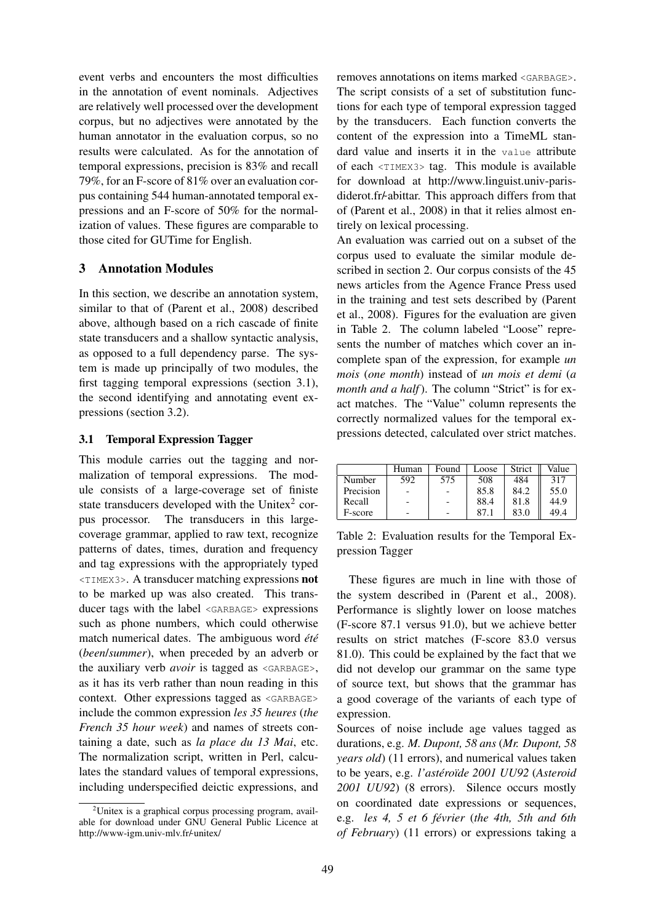event verbs and encounters the most difficulties in the annotation of event nominals. Adjectives are relatively well processed over the development corpus, but no adjectives were annotated by the human annotator in the evaluation corpus, so no results were calculated. As for the annotation of temporal expressions, precision is 83% and recall 79%, for an F-score of 81% over an evaluation corpus containing 544 human-annotated temporal expressions and an F-score of 50% for the normalization of values. These figures are comparable to those cited for GUTime for English.

# 3 Annotation Modules

In this section, we describe an annotation system, similar to that of (Parent et al., 2008) described above, although based on a rich cascade of finite state transducers and a shallow syntactic analysis, as opposed to a full dependency parse. The system is made up principally of two modules, the first tagging temporal expressions (section 3.1), the second identifying and annotating event expressions (section 3.2).

# 3.1 Temporal Expression Tagger

This module carries out the tagging and normalization of temporal expressions. The module consists of a large-coverage set of finiste state transducers developed with the Unitex<sup>2</sup> corpus processor. The transducers in this largecoverage grammar, applied to raw text, recognize patterns of dates, times, duration and frequency and tag expressions with the appropriately typed <TIMEX3>. A transducer matching expressions not to be marked up was also created. This transducer tags with the label <GARBAGE> expressions such as phone numbers, which could otherwise match numerical dates. The ambiguous word *été* (*been*/*summer*), when preceded by an adverb or the auxiliary verb *avoir* is tagged as <GARBAGE>, as it has its verb rather than noun reading in this context. Other expressions tagged as <GARBAGE> include the common expression *les 35 heures* (*the French 35 hour week*) and names of streets containing a date, such as *la place du 13 Mai*, etc. The normalization script, written in Perl, calculates the standard values of temporal expressions, including underspecified deictic expressions, and removes annotations on items marked <GARBAGE>. The script consists of a set of substitution functions for each type of temporal expression tagged by the transducers. Each function converts the content of the expression into a TimeML standard value and inserts it in the value attribute of each <TIMEX3> tag. This module is available for download at http://www.linguist.univ-parisdiderot.fr/-abittar. This approach differs from that of (Parent et al., 2008) in that it relies almost entirely on lexical processing.

An evaluation was carried out on a subset of the corpus used to evaluate the similar module described in section 2. Our corpus consists of the 45 news articles from the Agence France Press used in the training and test sets described by (Parent et al., 2008). Figures for the evaluation are given in Table 2. The column labeled "Loose" represents the number of matches which cover an incomplete span of the expression, for example *un mois* (*one month*) instead of *un mois et demi* (*a month and a half*). The column "Strict" is for exact matches. The "Value" column represents the correctly normalized values for the temporal expressions detected, calculated over strict matches.

|           | Human | Found | Loose | <b>Strict</b> | Value |
|-----------|-------|-------|-------|---------------|-------|
| Number    | 592   | 575   | 508   | 484           | 317   |
| Precision |       |       | 85.8  | 84.2          | 55.0  |
| Recall    |       |       | 88.4  | 81.8          | 44.9  |
| F-score   |       |       | 87.   | 83.0          | 49.4  |

Table 2: Evaluation results for the Temporal Expression Tagger

These figures are much in line with those of the system described in (Parent et al., 2008). Performance is slightly lower on loose matches (F-score 87.1 versus 91.0), but we achieve better results on strict matches (F-score 83.0 versus 81.0). This could be explained by the fact that we did not develop our grammar on the same type of source text, but shows that the grammar has a good coverage of the variants of each type of expression.

Sources of noise include age values tagged as durations, e.g. *M. Dupont, 58 ans* (*Mr. Dupont, 58 years old*) (11 errors), and numerical values taken to be years, e.g. *l'astero ´ ¨ıde 2001 UU92* (*Asteroid 2001 UU92*) (8 errors). Silence occurs mostly on coordinated date expressions or sequences, e.g. *les 4, 5 et 6 fevrier ´* (*the 4th, 5th and 6th of February*) (11 errors) or expressions taking a

 $2$ Unitex is a graphical corpus processing program, available for download under GNU General Public Licence at http://www-igm.univ-mlv.fr/-unitex/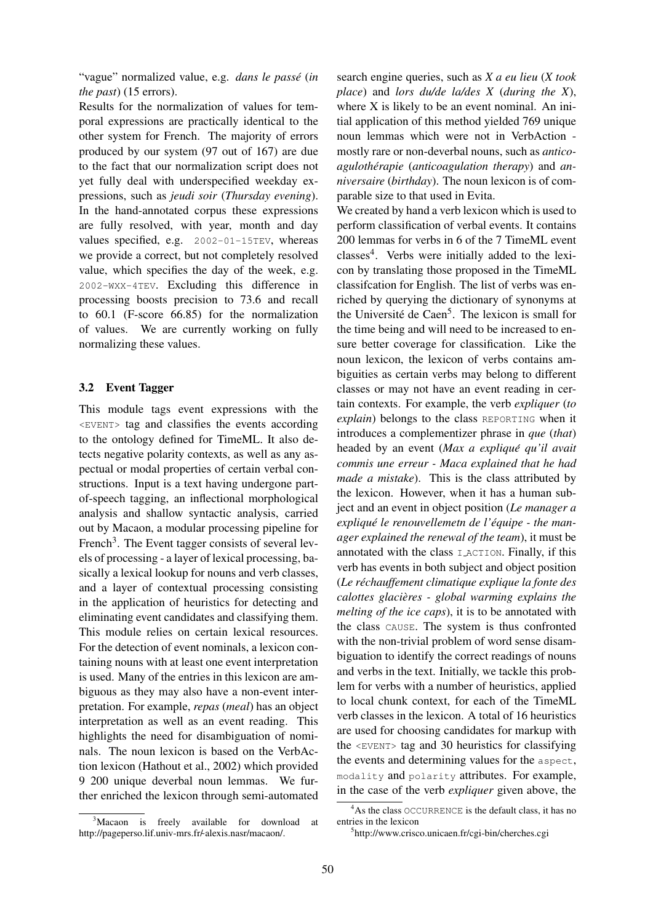"vague" normalized value, e.g. *dans le passe´* (*in the past*) (15 errors).

Results for the normalization of values for temporal expressions are practically identical to the other system for French. The majority of errors produced by our system (97 out of 167) are due to the fact that our normalization script does not yet fully deal with underspecified weekday expressions, such as *jeudi soir* (*Thursday evening*). In the hand-annotated corpus these expressions are fully resolved, with year, month and day values specified, e.g. 2002-01-15TEV, whereas we provide a correct, but not completely resolved value, which specifies the day of the week, e.g. 2002-WXX-4TEV. Excluding this difference in processing boosts precision to 73.6 and recall to 60.1 (F-score 66.85) for the normalization of values. We are currently working on fully normalizing these values.

#### 3.2 Event Tagger

This module tags event expressions with the <EVENT> tag and classifies the events according to the ontology defined for TimeML. It also detects negative polarity contexts, as well as any aspectual or modal properties of certain verbal constructions. Input is a text having undergone partof-speech tagging, an inflectional morphological analysis and shallow syntactic analysis, carried out by Macaon, a modular processing pipeline for French<sup>3</sup>. The Event tagger consists of several levels of processing - a layer of lexical processing, basically a lexical lookup for nouns and verb classes, and a layer of contextual processing consisting in the application of heuristics for detecting and eliminating event candidates and classifying them. This module relies on certain lexical resources. For the detection of event nominals, a lexicon containing nouns with at least one event interpretation is used. Many of the entries in this lexicon are ambiguous as they may also have a non-event interpretation. For example, *repas* (*meal*) has an object interpretation as well as an event reading. This highlights the need for disambiguation of nominals. The noun lexicon is based on the VerbAction lexicon (Hathout et al., 2002) which provided 9 200 unique deverbal noun lemmas. We further enriched the lexicon through semi-automated

<sup>3</sup>Macaon is freely available for download at http://pageperso.lif.univ-mrs.fr/alexis.nasr/macaon/.

search engine queries, such as *X a eu lieu* (*X took place*) and *lors du/de la/des X* (*during the X*), where X is likely to be an event nominal. An initial application of this method yielded 769 unique noun lemmas which were not in VerbAction mostly rare or non-deverbal nouns, such as *anticoagulotherapie ´* (*anticoagulation therapy*) and *anniversaire* (*birthday*). The noun lexicon is of comparable size to that used in Evita.

We created by hand a verb lexicon which is used to perform classification of verbal events. It contains 200 lemmas for verbs in 6 of the 7 TimeML event classes<sup>4</sup>. Verbs were initially added to the lexicon by translating those proposed in the TimeML classifcation for English. The list of verbs was enriched by querying the dictionary of synonyms at the Université de Caen<sup>5</sup>. The lexicon is small for the time being and will need to be increased to ensure better coverage for classification. Like the noun lexicon, the lexicon of verbs contains ambiguities as certain verbs may belong to different classes or may not have an event reading in certain contexts. For example, the verb *expliquer* (*to explain*) belongs to the class REPORTING when it introduces a complementizer phrase in *que* (*that*) headed by an event (*Max a explique qu'il avait ´ commis une erreur - Maca explained that he had made a mistake*). This is the class attributed by the lexicon. However, when it has a human subject and an event in object position (*Le manager a explique le renouvellemetn de l' ´ equipe - the man- ´ ager explained the renewal of the team*), it must be annotated with the class I ACTION. Finally, if this verb has events in both subject and object position (*Le rechauffement climatique explique la fonte des ´ calottes glacieres - global warming explains the ` melting of the ice caps*), it is to be annotated with the class CAUSE. The system is thus confronted with the non-trivial problem of word sense disambiguation to identify the correct readings of nouns and verbs in the text. Initially, we tackle this problem for verbs with a number of heuristics, applied to local chunk context, for each of the TimeML verb classes in the lexicon. A total of 16 heuristics are used for choosing candidates for markup with the <EVENT> tag and 30 heuristics for classifying the events and determining values for the aspect, modality and polarity attributes. For example, in the case of the verb *expliquer* given above, the

<sup>4</sup>As the class OCCURRENCE is the default class, it has no entries in the lexicon

<sup>5</sup> http://www.crisco.unicaen.fr/cgi-bin/cherches.cgi